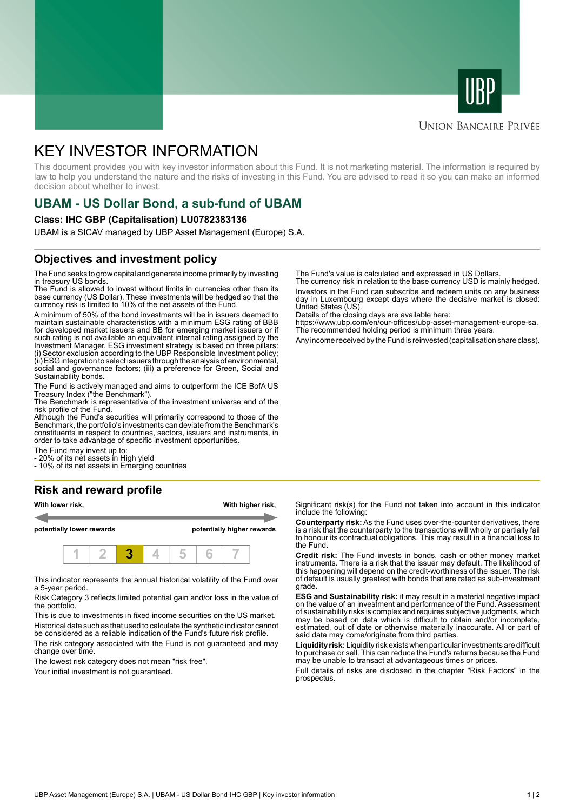



#### **UNION BANCAIRE PRIVÉE**

# KEY INVESTOR INFORMATION

This document provides you with key investor information about this Fund. It is not marketing material. The information is required by law to help you understand the nature and the risks of investing in this Fund. You are advised to read it so you can make an informed decision about whether to invest.

# **UBAM - US Dollar Bond, a sub-fund of UBAM**

#### **Class: IHC GBP (Capitalisation) LU0782383136**

UBAM is a SICAV managed by UBP Asset Management (Europe) S.A.

### **Objectives and investment policy**

The Fund seeks to grow capital and generate income primarily by investing in treasury US bonds.

The Fund is allowed to invest without limits in currencies other than its base currency (US Dollar). These investments will be hedged so that the currency risk is limited to 10% of the net assets of the Fund.

A minimum of 50% of the bond investments will be in issuers deemed to maintain sustainable characteristics with a minimum ESG rating of BBB for developed market issuers and BB for emerging market issuers or if such rating is not available an equivalent internal rating assigned by the Investment Manager. ESG investment strategy is based on three pillars: (i) Sector exclusion according to the UBP Responsible Investment policy; (ii) ESG integration to select issuers through the analysis of environmental, social and governance factors; (iii) a preference for Green, Social and Sustainability bonds.

The Fund is actively managed and aims to outperform the ICE BofA US Treasury Index ("the Benchmark").

The Benchmark is representative of the investment universe and of the risk profile of the Fund.

Although the Fund's securities will primarily correspond to those of the Benchmark, the portfolio's investments can deviate from the Benchmark's constituents in respect to countries, sectors, issuers and instruments, in order to take advantage of specific investment opportunities.

The Fund may invest up to:

- 20% of its net assets in High yield

- 10% of its net assets in Emerging countries

## **Risk and reward profile**



This indicator represents the annual historical volatility of the Fund over a 5-year period.

Risk Category 3 reflects limited potential gain and/or loss in the value of the portfolio.

This is due to investments in fixed income securities on the US market. Historical data such as that used to calculate the synthetic indicator cannot be considered as a reliable indication of the Fund's future risk profile.

The risk category associated with the Fund is not guaranteed and may change over time.

The lowest risk category does not mean "risk free".

Your initial investment is not quaranteed.

The Fund's value is calculated and expressed in US Dollars.

The currency risk in relation to the base currency USD is mainly hedged. Investors in the Fund can subscribe and redeem units on any business day in Luxembourg except days where the decisive market is closed: United States (US)

Details of the closing days are available here:

https://www.ubp.com/en/our-offices/ubp-asset-management-europe-sa. The recommended holding period is minimum three years.

Any income received by the Fund is reinvested (capitalisation share class).

Significant risk(s) for the Fund not taken into account in this indicator include the following:

**Counterparty risk:** As the Fund uses over-the-counter derivatives, there is a risk that the counterparty to the transactions will wholly or partially fail to honour its contractual obligations. This may result in a financial loss to the Fund.

**Credit risk:** The Fund invests in bonds, cash or other money market instruments. There is a risk that the issuer may default. The likelihood of this happening will depend on the credit-worthiness of the issuer. The risk of default is usually greatest with bonds that are rated as sub-investment grade.

**ESG and Sustainability risk:** it may result in a material negative impact on the value of an investment and performance of the Fund. Assessment of sustainability risks is complex and requires subjective judgments, which may be based on data which is difficult to obtain and/or incomplete, estimated, out of date or otherwise materially inaccurate. All or part of said data may come/originate from third parties.

**Liquidity risk:** Liquidity risk exists when particular investments are difficult to purchase or sell. This can reduce the Fund's returns because the Fund may be unable to transact at advantageous times or prices.

Full details of risks are disclosed in the chapter "Risk Factors" in the prospectus.